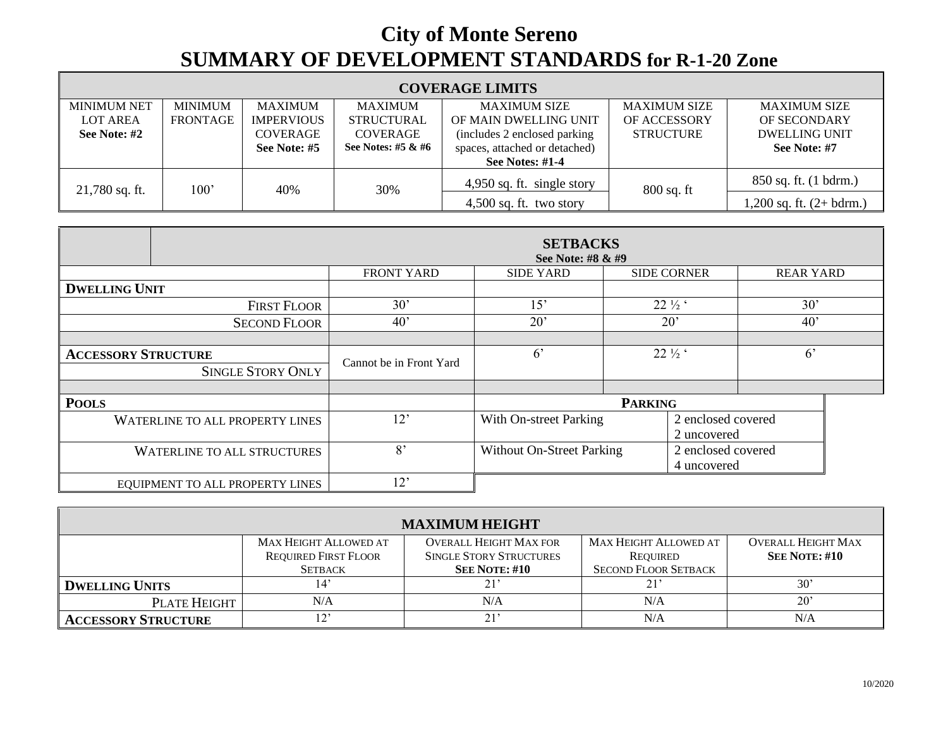## **City of Monte Sereno SUMMARY OF DEVELOPMENT STANDARDS for R-1-20 Zone**

| <b>COVERAGE LIMITS</b>                                |                                   |                                                                 |                                                                |                                                                                                                                          |                                                  |                                                                             |  |  |
|-------------------------------------------------------|-----------------------------------|-----------------------------------------------------------------|----------------------------------------------------------------|------------------------------------------------------------------------------------------------------------------------------------------|--------------------------------------------------|-----------------------------------------------------------------------------|--|--|
| <b>MINIMUM NET</b><br><b>LOT AREA</b><br>See Note: #2 | <b>MINIMUM</b><br><b>FRONTAGE</b> | <b>MAXIMUM</b><br><b>IMPERVIOUS</b><br>COVERAGE<br>See Note: #5 | MAXIMUM<br><b>STRUCTURAL</b><br>COVERAGE<br>See Notes: #5 & #6 | <b>MAXIMUM SIZE</b><br>OF MAIN DWELLING UNIT<br>(includes 2 enclosed parking)<br>spaces, attached or detached)<br><b>See Notes: #1-4</b> | <b>MAXIMUM SIZE</b><br>OF ACCESSORY<br>STRUCTURE | <b>MAXIMUM SIZE</b><br>OF SECONDARY<br><b>DWELLING UNIT</b><br>See Note: #7 |  |  |
| $21,780$ sq. ft.                                      | 100'                              | 40%                                                             | 30%                                                            | 4,950 sq. ft. single story<br>$4,500$ sq. ft. two story                                                                                  | $800$ sq. ft                                     | 850 sq. ft. (1 bdrm.)<br>$1,200$ sq. ft. $(2+bdrm.)$                        |  |  |

|                                        | <b>SETBACKS</b><br>See Note: #8 & #9 |                                  |                 |                                   |                  |  |  |  |
|----------------------------------------|--------------------------------------|----------------------------------|-----------------|-----------------------------------|------------------|--|--|--|
|                                        | <b>FRONT YARD</b>                    | <b>SIDE YARD</b>                 |                 | <b>SIDE CORNER</b>                | <b>REAR YARD</b> |  |  |  |
| <b>DWELLING UNIT</b>                   |                                      |                                  |                 |                                   |                  |  |  |  |
| <b>FIRST FLOOR</b>                     | 30'                                  | 15'                              | $22\frac{1}{2}$ |                                   | 30'              |  |  |  |
| <b>SECOND FLOOR</b>                    | $40^{\circ}$                         | $20^{\circ}$                     | $20^{\circ}$    |                                   | 40'              |  |  |  |
|                                        |                                      |                                  |                 |                                   |                  |  |  |  |
| <b>ACCESSORY STRUCTURE</b>             | Cannot be in Front Yard              | 6 <sup>2</sup>                   |                 | $22\frac{1}{2}$                   | $6^{\circ}$      |  |  |  |
| <b>SINGLE STORY ONLY</b>               |                                      |                                  |                 |                                   |                  |  |  |  |
|                                        |                                      |                                  |                 |                                   |                  |  |  |  |
| <b>POOLS</b>                           |                                      | <b>PARKING</b>                   |                 |                                   |                  |  |  |  |
| <b>WATERLINE TO ALL PROPERTY LINES</b> | 12'                                  | With On-street Parking           |                 | 2 enclosed covered<br>2 uncovered |                  |  |  |  |
| <b>WATERLINE TO ALL STRUCTURES</b>     | 8'                                   | <b>Without On-Street Parking</b> |                 | 2 enclosed covered<br>4 uncovered |                  |  |  |  |
| EQUIPMENT TO ALL PROPERTY LINES        | 12'                                  |                                  |                 |                                   |                  |  |  |  |

| <b>MAXIMUM HEIGHT</b>      |                              |                                |                              |                           |  |  |  |  |
|----------------------------|------------------------------|--------------------------------|------------------------------|---------------------------|--|--|--|--|
|                            | <b>MAX HEIGHT ALLOWED AT</b> | <b>OVERALL HEIGHT MAX FOR</b>  | <b>MAX HEIGHT ALLOWED AT</b> | <b>OVERALL HEIGHT MAX</b> |  |  |  |  |
|                            | <b>REQUIRED FIRST FLOOR</b>  | <b>SINGLE STORY STRUCTURES</b> | REOUIRED                     | <b>SEE NOTE: #10</b>      |  |  |  |  |
|                            | <b>SETBACK</b>               | <b>SEE NOTE: #10</b>           | <b>SECOND FLOOR SETBACK</b>  |                           |  |  |  |  |
| <b>DWELLING UNITS</b>      | 14'                          | 21'                            | 21'                          | 30'                       |  |  |  |  |
| PLATE HEIGHT               | N/A                          | N/A                            | N/A                          | $20^{\circ}$              |  |  |  |  |
| <b>ACCESSORY STRUCTURE</b> | ှာ,                          | 21'                            | N/A                          | N/A                       |  |  |  |  |